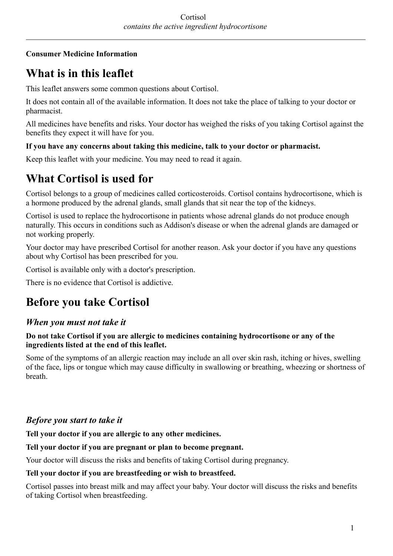### **Consumer Medicine Information**

# **What is in this leaflet**

This leaflet answers some common questions about Cortisol.

It does not contain all of the available information. It does not take the place of talking to your doctor or pharmacist.

All medicines have benefits and risks. Your doctor has weighed the risks of you taking Cortisol against the benefits they expect it will have for you.

### **If you have any concerns about taking this medicine, talk to your doctor or pharmacist.**

Keep this leaflet with your medicine. You may need to read it again.

## **What Cortisol is used for**

Cortisol belongs to a group of medicines called corticosteroids. Cortisol contains hydrocortisone, which is a hormone produced by the adrenal glands, small glands that sit near the top of the kidneys.

Cortisol is used to replace the hydrocortisone in patients whose adrenal glands do not produce enough naturally. This occurs in conditions such as Addison's disease or when the adrenal glands are damaged or not working properly.

Your doctor may have prescribed Cortisol for another reason. Ask your doctor if you have any questions about why Cortisol has been prescribed for you.

Cortisol is available only with a doctor's prescription.

There is no evidence that Cortisol is addictive.

## **Before you take Cortisol**

## *When you must not take it*

### **Do not take Cortisol if you are allergic to medicines containing hydrocortisone or any of the ingredients listed at the end of this leaflet.**

Some of the symptoms of an allergic reaction may include an all over skin rash, itching or hives, swelling of the face, lips or tongue which may cause difficulty in swallowing or breathing, wheezing or shortness of breath.

## *Before you start to take it*

**Tell your doctor if you are allergic to any other medicines.**

### **Tell your doctor if you are pregnant or plan to become pregnant.**

Your doctor will discuss the risks and benefits of taking Cortisol during pregnancy.

### **Tell your doctor if you are breastfeeding or wish to breastfeed.**

Cortisol passes into breast milk and may affect your baby. Your doctor will discuss the risks and benefits of taking Cortisol when breastfeeding.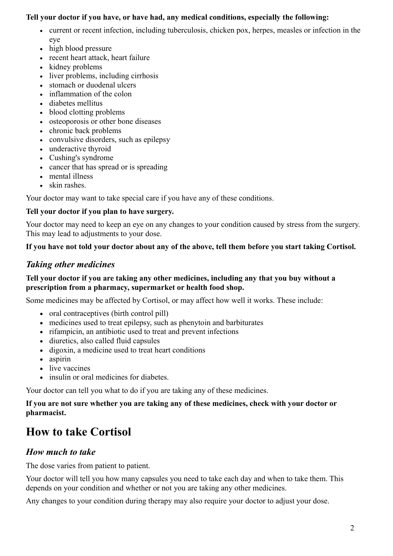### **Tell your doctor if you have, or have had, any medical conditions, especially the following:**

- current or recent infection, including tuberculosis, chicken pox, herpes, measles or infection in the eye
- high blood pressure
- recent heart attack, heart failure
- kidney problems
- liver problems, including cirrhosis
- stomach or duodenal ulcers
- inflammation of the colon
- diabetes mellitus
- blood clotting problems
- osteoporosis or other bone diseases
- chronic back problems
- convulsive disorders, such as epilepsy
- underactive thyroid
- Cushing's syndrome
- cancer that has spread or is spreading
- mental illness
- skin rashes

Your doctor may want to take special care if you have any of these conditions.

#### **Tell your doctor if you plan to have surgery.**

Your doctor may need to keep an eye on any changes to your condition caused by stress from the surgery. This may lead to adjustments to your dose.

#### **If you have not told your doctor about any of the above, tell them before you start taking Cortisol.**

### *Taking other medicines*

### **Tell your doctor if you are taking any other medicines, including any that you buy without a prescription from a pharmacy, supermarket or health food shop.**

Some medicines may be affected by Cortisol, or may affect how well it works. These include:

- oral contraceptives (birth control pill)
- medicines used to treat epilepsy, such as phenytoin and barbiturates
- rifampicin, an antibiotic used to treat and prevent infections
- diuretics, also called fluid capsules
- digoxin, a medicine used to treat heart conditions
- aspirin
- live vaccines
- insulin or oral medicines for diabetes.

Your doctor can tell you what to do if you are taking any of these medicines.

### **If you are not sure whether you are taking any of these medicines, check with your doctor or pharmacist.**

## **How to take Cortisol**

## *How much to take*

The dose varies from patient to patient.

Your doctor will tell you how many capsules you need to take each day and when to take them. This depends on your condition and whether or not you are taking any other medicines.

Any changes to your condition during therapy may also require your doctor to adjust your dose.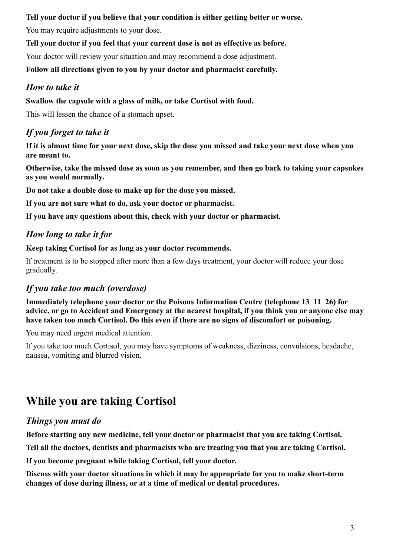### **Tell your doctor if you believe that your condition is either getting better or worse.**

You may require adjustments to your dose.

**Tell your doctor if you feel that your current dose is not as effective as before.**

Your doctor will review your situation and may recommend a dose adjustment.

**Follow all directions given to you by your doctor and pharmacist carefully.**

### *How to take it*

### **Swallow the capsule with a glass of milk, or take Cortisol with food.**

This will lessen the chance of a stomach upset.

## *If you forget to take it*

**If it is almost time for your next dose, skip the dose you missed and take your next dose when you are meant to.**

**Otherwise, take the missed dose as soon as you remember, and then go back to taking your capsukes as you would normally.**

**Do not take a double dose to make up for the dose you missed.**

**If you are not sure what to do, ask your doctor or pharmacist.**

**If you have any questions about this, check with your doctor or pharmacist.**

### *How long to take it for*

**Keep taking Cortisol for as long as your doctor recommends.**

If treatment is to be stopped after more than a few days treatment, your doctor will reduce your dose gradually.

## *If you take too much (overdose)*

**Immediately telephone your doctor or the Poisons Information Centre (telephone 13 11 26) for advice, or go to Accident and Emergency at the nearest hospital, if you think you or anyone else may have taken too much Cortisol. Do this even if there are no signs of discomfort or poisoning.**

You may need urgent medical attention.

If you take too much Cortisol, you may have symptoms of weakness, dizziness, convulsions, headache, nausea, vomiting and blurred vision.

## **While you are taking Cortisol**

### *Things you must do*

**Before starting any new medicine, tell your doctor or pharmacist that you are taking Cortisol.**

**Tell all the doctors, dentists and pharmacists who are treating you that you are taking Cortisol.**

**If you become pregnant while taking Cortisol, tell your doctor.**

**Discuss with your doctor situations in which it may be appropriate for you to make short-term changes of dose during illness, or at a time of medical or dental procedures.**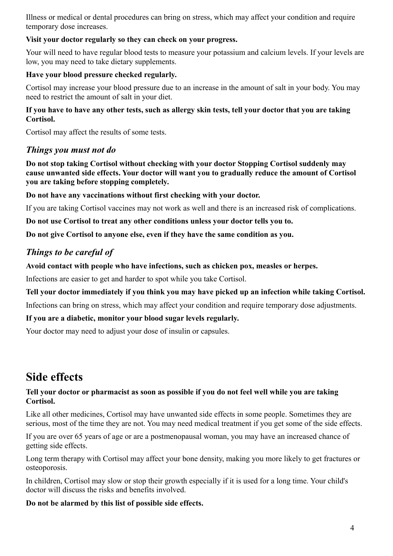Illness or medical or dental procedures can bring on stress, which may affect your condition and require temporary dose increases.

### **Visit your doctor regularly so they can check on your progress.**

Your will need to have regular blood tests to measure your potassium and calcium levels. If your levels are low, you may need to take dietary supplements.

### **Have your blood pressure checked regularly.**

Cortisol may increase your blood pressure due to an increase in the amount of salt in your body. You may need to restrict the amount of salt in your diet.

### **If you have to have any other tests, such as allergy skin tests, tell your doctor that you are taking Cortisol.**

Cortisol may affect the results of some tests.

### *Things you must not do*

**Do not stop taking Cortisol without checking with your doctor Stopping Cortisol suddenly may cause unwanted side effects. Your doctor will want you to gradually reduce the amount of Cortisol you are taking before stopping completely.**

**Do not have any vaccinations without first checking with your doctor.**

If you are taking Cortisol vaccines may not work as well and there is an increased risk of complications.

**Do not use Cortisol to treat any other conditions unless your doctor tells you to.**

**Do not give Cortisol to anyone else, even if they have the same condition as you.**

### *Things to be careful of*

**Avoid contact with people who have infections, such as chicken pox, measles or herpes.**

Infections are easier to get and harder to spot while you take Cortisol.

### **Tell your doctor immediately if you think you may have picked up an infection while taking Cortisol.**

Infections can bring on stress, which may affect your condition and require temporary dose adjustments.

#### **If you are a diabetic, monitor your blood sugar levels regularly.**

Your doctor may need to adjust your dose of insulin or capsules.

## **Side effects**

#### **Tell your doctor or pharmacist as soon as possible if you do not feel well while you are taking Cortisol.**

Like all other medicines, Cortisol may have unwanted side effects in some people. Sometimes they are serious, most of the time they are not. You may need medical treatment if you get some of the side effects.

If you are over 65 years of age or are a postmenopausal woman, you may have an increased chance of getting side effects.

Long term therapy with Cortisol may affect your bone density, making you more likely to get fractures or osteoporosis.

In children, Cortisol may slow or stop their growth especially if it is used for a long time. Your child's doctor will discuss the risks and benefits involved.

### **Do not be alarmed by this list of possible side effects.**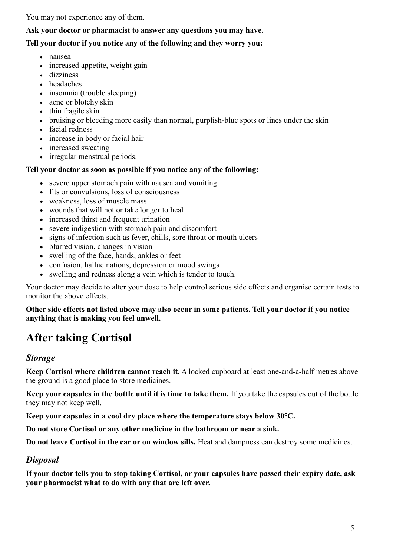You may not experience any of them.

#### **Ask your doctor or pharmacist to answer any questions you may have.**

### **Tell your doctor if you notice any of the following and they worry you:**

- nausea
- increased appetite, weight gain
- dizziness
- headaches
- insomnia (trouble sleeping)
- acne or blotchy skin
- $\bullet$  thin fragile skin
- bruising or bleeding more easily than normal, purplish-blue spots or lines under the skin
- facial redness
- increase in body or facial hair
- increased sweating
- irregular menstrual periods.

#### **Tell your doctor as soon as possible if you notice any of the following:**

- severe upper stomach pain with nausea and vomiting
- fits or convulsions, loss of consciousness
- weakness, loss of muscle mass
- wounds that will not or take longer to heal
- increased thirst and frequent urination
- severe indigestion with stomach pain and discomfort
- signs of infection such as fever, chills, sore throat or mouth ulcers
- blurred vision, changes in vision
- swelling of the face, hands, ankles or feet
- confusion, hallucinations, depression or mood swings
- swelling and redness along a vein which is tender to touch.

Your doctor may decide to alter your dose to help control serious side effects and organise certain tests to monitor the above effects.

#### **Other side effects not listed above may also occur in some patients. Tell your doctor if you notice anything that is making you feel unwell.**

## **After taking Cortisol**

### *Storage*

**Keep Cortisol where children cannot reach it.** A locked cupboard at least one-and-a-half metres above the ground is a good place to store medicines.

**Keep your capsules in the bottle until it is time to take them.** If you take the capsules out of the bottle they may not keep well.

**Keep your capsules in a cool dry place where the temperature stays below 30°C.**

**Do not store Cortisol or any other medicine in the bathroom or near a sink.**

**Do not leave Cortisol in the car or on window sills.** Heat and dampness can destroy some medicines.

### *Disposal*

**If your doctor tells you to stop taking Cortisol, or your capsules have passed their expiry date, ask your pharmacist what to do with any that are left over.**